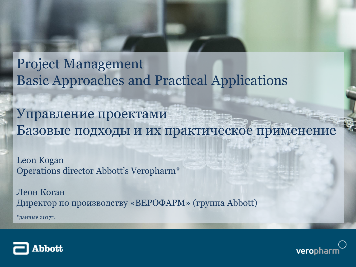#### Project Management Basic Approaches and Practical Applications

Управление проектами Базовые подходы и их практическое применение

Leon Kogan Operations director Abbott's Veropharm\*

Леон Коган Директор по производству «ВЕРОФАРМ» (группа Abbott)

\*данные 2017г.



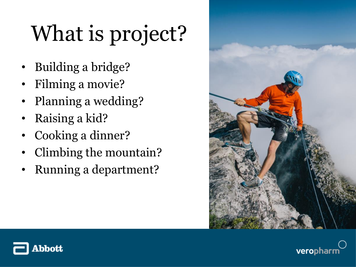# What is project?

- Building a bridge?
- Filming a movie?
- Planning a wedding?
- Raising a kid?
- Cooking a dinner?
- Climbing the mountain?
- Running a department?





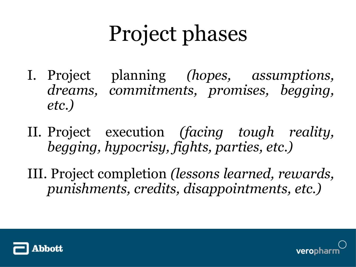## Project phases

- I. Project planning *(hopes, assumptions, dreams, commitments, promises, begging, etc.)*
- II. Project execution *(facing tough reality, begging, hypocrisy, fights, parties, etc.)*
- III. Project completion *(lessons learned, rewards, punishments, credits, disappointments, etc.)*



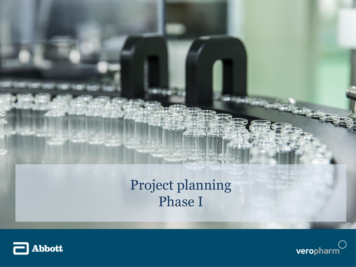

#### Project planning Phase I



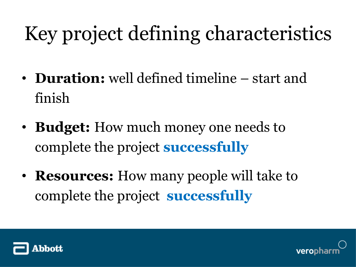## Key project defining characteristics

- **Duration:** well defined timeline start and finish
- **Budget:** How much money one needs to complete the project **successfully**
- **Resources:** How many people will take to complete the project **successfully**



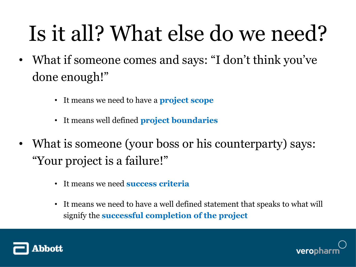## Is it all? What else do we need?

- What if someone comes and says: "I don't think you've done enough!"
	- It means we need to have a **project scope**
	- It means well defined **project boundaries**
- What is someone (your boss or his counterparty) says: "Your project is a failure!"
	- It means we need **success criteria**
	- It means we need to have a well defined statement that speaks to what will signify the **successful completion of the project**



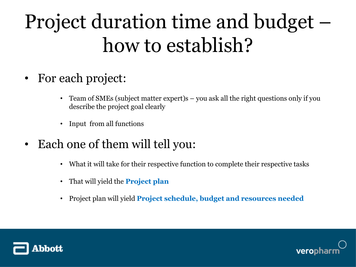## Project duration time and budget – how to establish?

- For each project:
	- Team of SMEs (subject matter expert)s you ask all the right questions only if you describe the project goal clearly
	- Input from all functions
- Each one of them will tell you:
	- What it will take for their respective function to complete their respective tasks
	- That will yield the **Project plan**
	- Project plan will yield **Project schedule, budget and resources needed**



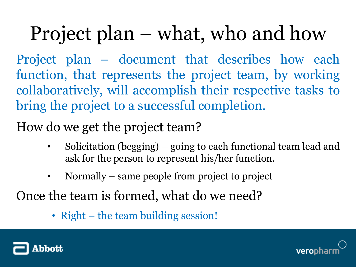## Project plan – what, who and how

Project plan – document that describes how each function, that represents the project team, by working collaboratively, will accomplish their respective tasks to bring the project to a successful completion.

#### How do we get the project team?

- Solicitation (begging) going to each functional team lead and ask for the person to represent his/her function.
- Normally same people from project to project

Once the team is formed, what do we need?

• Right – the team building session!



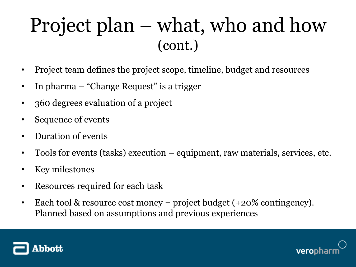#### Project plan – what, who and how (cont.)

- Project team defines the project scope, timeline, budget and resources
- In pharma "Change Request" is a trigger
- 360 degrees evaluation of a project
- Sequence of events
- Duration of events
- Tools for events (tasks) execution equipment, raw materials, services, etc.
- Key milestones
- Resources required for each task
- Each tool & resource cost money = project budget (+20% contingency). Planned based on assumptions and previous experiences



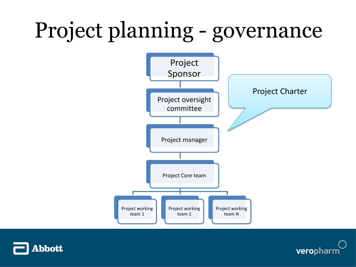## Project planning - governance





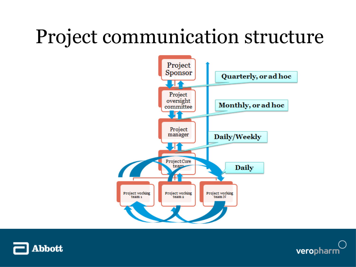### Project communication structure





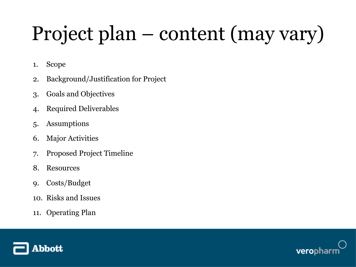## Project plan – content (may vary)

- 1. Scope
- 2. Background/Justification for Project
- 3. Goals and Objectives
- 4. Required Deliverables
- 5. Assumptions
- 6. Major Activities
- 7. Proposed Project Timeline
- 8. Resources
- 9. Costs/Budget
- 10. Risks and Issues
- 11. Operating Plan



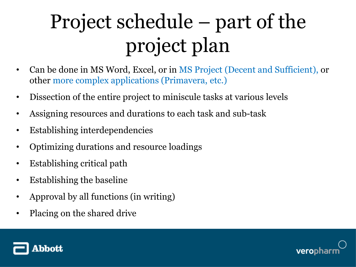## Project schedule – part of the project plan

- Can be done in MS Word, Excel, or in MS Project (Decent and Sufficient), or other more complex applications (Primavera, etc.)
- Dissection of the entire project to miniscule tasks at various levels
- Assigning resources and durations to each task and sub-task
- Establishing interdependencies
- Optimizing durations and resource loadings
- Establishing critical path
- Establishing the baseline
- Approval by all functions (in writing)
- Placing on the shared drive



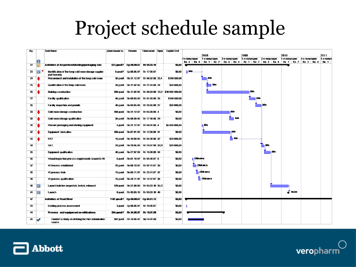### Project schedule sample

| Ид.          |              | <b>Task Name</b>                                                                | Длительность | Hanam                                                                  |  | Okurvanne   Пред   Capital Cost                       |               |          |     |                             |                             |                               |               |                     |             |
|--------------|--------------|---------------------------------------------------------------------------------|--------------|------------------------------------------------------------------------|--|-------------------------------------------------------|---------------|----------|-----|-----------------------------|-----------------------------|-------------------------------|---------------|---------------------|-------------|
|              |              |                                                                                 |              |                                                                        |  |                                                       |               | 2008     |     |                             | 2009                        |                               | 2010          |                     | 2011        |
|              |              |                                                                                 |              |                                                                        |  |                                                       | 2-e nonyropre |          |     | 1-е полугодие 2-е полугодие | 1-е полугодие 2-е полугодие |                               | 1-е полугодие | 2-е полугорие       | 1-e nonyn   |
|              |              |                                                                                 |              |                                                                        |  |                                                       | $KB.3$ $KB.4$ |          |     | KB 1 KB 2 KB 3 KB 4         |                             | KB. 1   KB. 2   KB. 3   KB. 4 |               | KB 1 KB 2 KB 3 KB 4 | <b>KB.1</b> |
| $\mathbf{z}$ |              | Activities at Inspection/labeling/packaging site                                |              | 673 двей? Ср. 08.08.07 Пт 05.03.10                                     |  | \$0,00                                                |               |          |     |                             |                             |                               |               |                     |             |
| 23           | <b>HE</b>    | Identification of the temp cold room storage supplier<br>(not Havant)           |              | 8 дней? Ср.08.08.07 Пт 17.08.07                                        |  | \$0,00                                                | <b>g</b> kie  |          |     |                             |                             |                               |               |                     |             |
| 24           | ۰            | Procurement and installation of the temp cold room                              |              | 30 дней Пн 31.12.07 Пт 08.02.08 23;4                                   |  | \$100 000,00                                          |               |          | kle |                             |                             |                               |               |                     |             |
| 25           | ۰            | Qualification of the temp cold room                                             |              | 30 дней Пн 11.02.08 Пт 21.03.08 24                                     |  | \$50 000,00                                           |               |          | kie |                             |                             |                               |               |                     |             |
| 26           | ۰            | <b>Building construction</b>                                                    |              |                                                                        |  | 280 дней Пн 11.02.08 Пт 06.03.09 1524 \$10 000 000,00 |               |          |     |                             | , de                        |                               |               |                     |             |
| 27           |              | Facility qualification                                                          |              | 40 дней ПН 09.03.09 Пт 01.05.09 26                                     |  | \$100 000,00                                          |               |          |     |                             | .de                         |                               |               |                     |             |
| 28           |              | Facility inspection and permits                                                 |              | 40 дней ПН 04.05.09 Пт 26.06.09 27                                     |  | \$20 000,00                                           |               |          |     |                             |                             | ide                           |               |                     |             |
| 29           | ٥            | Cold room storage construction                                                  |              | 180 дней Пн 31.12.07 Пт 05.09.08 4                                     |  | \$0,00                                                |               |          |     | kle                         |                             |                               |               |                     |             |
| 30           | ۰            | Cold roomstorage qualification                                                  |              | 30 дней Пн 08.09.08 Пт 17.10.08 29                                     |  | \$0,00                                                |               |          |     | kie                         |                             |                               |               |                     |             |
| 31           | ۰            | Procure packaging and labeling equipment                                        |              | 5 дней Пн 31.12.07 Пт 04.01.08 4                                       |  | \$6 000 000,00                                        |               | .ue      |     |                             |                             |                               |               |                     |             |
| 32           | o            | Equipment fabrication                                                           |              | 180 дней Пн 07.01.08 Пт 12.09.08 31                                    |  | \$0,00                                                |               |          |     | kie<br>. He                 |                             |                               |               |                     |             |
| 33           | 0            | FAT                                                                             |              | 15 дней Пн 15.09.08 Пт 03.10.08 32                                     |  | \$20 000,00                                           |               |          |     |                             |                             |                               |               |                     |             |
| 34           |              | SAT                                                                             |              | 20 дней Пн 29.06.09 Пт 24.07.09 33:28                                  |  | \$20 000,00                                           |               |          |     |                             |                             | kle                           |               |                     |             |
| 35<br>36     |              | Equipment qualification<br>Visual inspection process requirements issued to PA. |              | 40 дней Пн 27.07.09 Пт 18.09.09 34<br>5 дней ПН 01.10.07 Пт 05.10.07 5 |  | \$0,00                                                | , dikawa      |          |     |                             |                             |                               |               |                     |             |
| 37           |              | VI Process established                                                          |              | 20 дней Пн 08.10.07 Пт 02.11.07 36                                     |  | \$0,00<br>\$0,00                                      |               | ,Chikawa |     |                             |                             |                               |               |                     |             |
| 38           |              | VI process trials                                                               |              | 15 дней Пн 05.11.07 Пт 23.11.07 37                                     |  | \$0,00                                                |               | Ohkawa   |     |                             |                             |                               |               |                     |             |
| 39           |              | VI process qualification                                                        |              | 15 дней Пн 26.11.07 Пт 14.12.07 38                                     |  | \$0,00                                                |               | Ohkawa   |     |                             |                             |                               |               |                     |             |
| 40           | <b>HIE</b>   | Launch batches inspected, tested, released                                      |              | 120 дней Пн 21.09.09 Пт 05.03.10 35,72                                 |  | \$0,00                                                |               |          |     |                             |                             |                               |               |                     |             |
| 41           | <b>THE</b>   | Lamch                                                                           |              | 0 дней Пт 05.03.10 Пт 05.03.10 40                                      |  | \$0,00                                                |               |          |     |                             |                             |                               | 05.03         |                     |             |
| 42           |              | <b>Activities at Pearl River</b>                                                |              | 1151 двей? Ср 08.08.07 Ср 04.01.12                                     |  | \$0,00                                                |               |          |     |                             |                             |                               |               |                     |             |
| 43           |              | <b>Existing process assessment</b>                                              |              | ЗДНЕЙ СО 08.08.07 Пт 10.08.07                                          |  | 50,00                                                 |               |          |     |                             |                             |                               |               |                     |             |
| 44           |              | Process and equipment modifications                                             |              | 236 двей? Пт 24.08.07 Пт 18.07.08                                      |  | \$0,00                                                |               |          |     |                             |                             |                               |               |                     |             |
| 45           | $\mathscr Q$ | Conduct a study on defining the FM contamination                                |              | 102 дней Пт 24.08.07 Пн 14.01.08                                       |  | \$0,00                                                |               |          |     |                             |                             |                               |               |                     |             |
|              |              | saute                                                                           |              |                                                                        |  |                                                       |               |          |     |                             |                             |                               |               |                     |             |



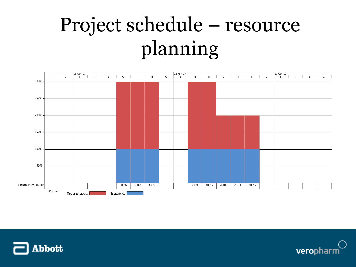## Project schedule – resource planning





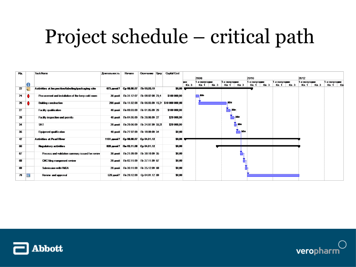### Project schedule – critical path

| Ид |           | <b>Task Name</b>                                   | Длительность | <b>Havano</b>                        | Окончание Пред | <b>Capital Cost</b>                                    |       |                |                 |               |                       |                |               |
|----|-----------|----------------------------------------------------|--------------|--------------------------------------|----------------|--------------------------------------------------------|-------|----------------|-----------------|---------------|-----------------------|----------------|---------------|
|    |           |                                                    |              |                                      |                |                                                        |       | 2008           |                 | 2010          |                       | 2012           |               |
|    |           |                                                    |              |                                      |                |                                                        | эме   | 1-е попугодие  | 1-е попугодие   | 1-е попугодие | 1-е попугодие         | 1-е попугодие  | 1-е попугодне |
|    | G         |                                                    |              |                                      |                |                                                        | Кв. 3 | Кв. 3<br>Кв. 1 | Кв. 3<br>KB. 1  | Кв 3<br>KB 1  | <b>Кв. 3</b><br>Кв. 1 | KB. 1<br>Кв. 3 | $K_B$ 1 $K_B$ |
| 22 | h.        | Activities at Inspection/labeling/packaging site   |              | 673 дней? Ср 08.08.07 Пт 05.03.10    |                | \$0,00                                                 |       |                |                 |               |                       |                |               |
| 24 |           | Procurement and installation of the temp cold room |              | 30 дней Пн 31.12.07 Пг 08.02.08 23.4 |                | \$100 000,00                                           |       | L, de          |                 |               |                       |                |               |
| 26 |           | <b>Building construction</b>                       |              |                                      |                | 280 дней Пн 11.02.08 Пг 06.03.09 15:24 \$10 000 000,00 |       |                | , de            |               |                       |                |               |
| 27 |           | Facility qualification                             |              | 40 дней Пн 09.03.09 Пг 01.05.09 26   |                | \$100 000,00                                           |       |                | 5 de l          |               |                       |                |               |
| 28 |           | Facility inspection and permits                    | 40 дней      | Пн 04.05.09 Пг 26.06.09 27           |                | \$20 000,00                                            |       |                | L, de           |               |                       |                |               |
| 34 |           | SAT                                                | 20 дней      | Пн 29.06.09 Пт 24.07.09 33:28        |                | \$20 000,00                                            |       |                | <sub>1</sub> de |               |                       |                |               |
| 35 |           | Equipment qualification                            | 40 дней      | Пн 27.07.09 Пг 18.09.09 34           |                | \$0,00                                                 |       |                | , de            |               |                       |                |               |
| 42 |           | <b>Activities at Pearl River</b>                   |              | 1151 дней? Ср 08.08.07 Ср 04.01.12   |                | \$0,00                                                 |       |                |                 |               |                       |                |               |
| 66 |           | <b>Requiatory activities</b>                       |              | 828 дней? Пн 03.11.08 Ср 04.01.12    |                | \$0,00                                                 |       |                |                 |               |                       |                |               |
| 67 |           | Process and validation summary issued for review   |              | 30 дней Пн 21.09.09 Пг 30.10.09 35   |                | \$0,00                                                 |       |                |                 |               |                       |                |               |
| 68 |           | <b>OMCfiling mangement review</b>                  |              | 20 дней Пн 02.11.09 Пг 27.11.09 67   |                | \$0,00                                                 |       |                |                 |               |                       |                |               |
| 69 |           | <b>Submission with FMDA</b>                        |              | 20 лней Пн 30.11.09 Пт 25.12.09 68   |                | \$0,00                                                 |       |                |                 |               |                       |                |               |
| 70 | <b>HE</b> | Review and approval                                |              | 528 дней? Пн 28.12.09 Ср 04.01.12 69 |                | \$0,00                                                 |       |                |                 |               |                       |                |               |



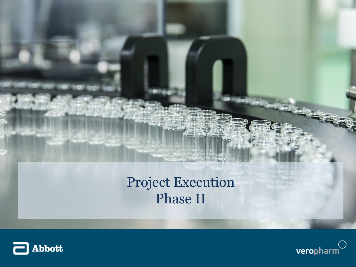



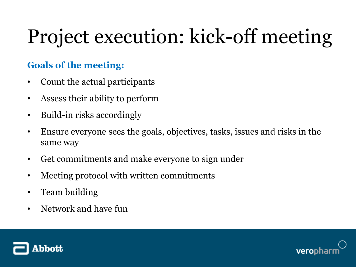## Project execution: kick-off meeting

#### **Goals of the meeting:**

- Count the actual participants
- Assess their ability to perform
- Build-in risks accordingly
- Ensure everyone sees the goals, objectives, tasks, issues and risks in the same way
- Get commitments and make everyone to sign under
- Meeting protocol with written commitments
- Team building
- Network and have fun



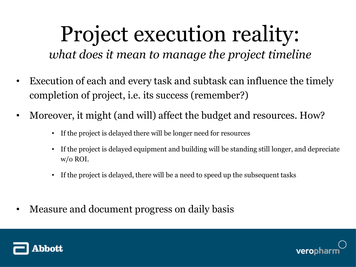# Project execution reality:

*what does it mean to manage the project timeline*

- Execution of each and every task and subtask can influence the timely completion of project, i.e. its success (remember?)
- Moreover, it might (and will) affect the budget and resources. How?
	- If the project is delayed there will be longer need for resources
	- If the project is delayed equipment and building will be standing still longer, and depreciate w/o ROI.
	- If the project is delayed, there will be a need to speed up the subsequent tasks
- Measure and document progress on daily basis



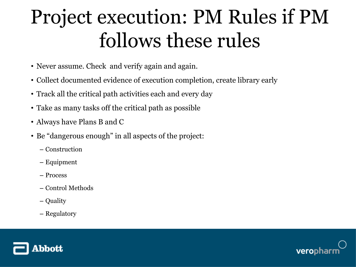## Project execution: PM Rules if PM follows these rules

- Never assume. Check and verify again and again.
- Collect documented evidence of execution completion, create library early
- Track all the critical path activities each and every day
- Take as many tasks off the critical path as possible
- Always have Plans B and C
- Be "dangerous enough" in all aspects of the project:
	- Construction
	- Equipment
	- Process
	- Control Methods
	- Quality
	- Regulatory



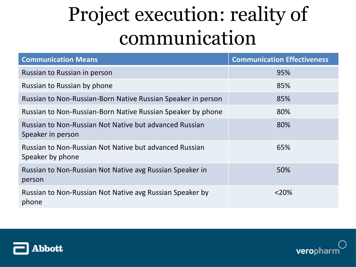### Project execution: reality of communication

| <b>Communication Means</b>                                                  | <b>Communication Effectiveness</b> |
|-----------------------------------------------------------------------------|------------------------------------|
| Russian to Russian in person                                                | 95%                                |
| Russian to Russian by phone                                                 | 85%                                |
| Russian to Non-Russian-Born Native Russian Speaker in person                | 85%                                |
| Russian to Non-Russian-Born Native Russian Speaker by phone                 | 80%                                |
| Russian to Non-Russian Not Native but advanced Russian<br>Speaker in person | 80%                                |
| Russian to Non-Russian Not Native but advanced Russian<br>Speaker by phone  | 65%                                |
| Russian to Non-Russian Not Native avg Russian Speaker in<br>person          | 50%                                |
| Russian to Non-Russian Not Native avg Russian Speaker by<br>phone           | $<$ 20%                            |



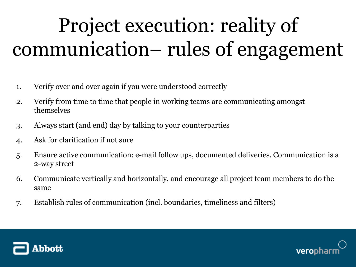## Project execution: reality of communication– rules of engagement

- 1. Verify over and over again if you were understood correctly
- 2. Verify from time to time that people in working teams are communicating amongst themselves
- 3. Always start (and end) day by talking to your counterparties
- 4. Ask for clarification if not sure
- 5. Ensure active communication: e-mail follow ups, documented deliveries. Communication is a 2-way street
- 6. Communicate vertically and horizontally, and encourage all project team members to do the same
- 7. Establish rules of communication (incl. boundaries, timeliness and filters)



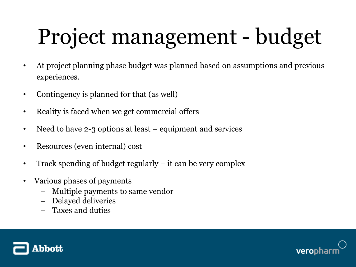# Project management - budget

- At project planning phase budget was planned based on assumptions and previous experiences.
- Contingency is planned for that (as well)
- Reality is faced when we get commercial offers
- Need to have 2-3 options at least equipment and services
- Resources (even internal) cost
- Track spending of budget regularly it can be very complex
- Various phases of payments
	- Multiple payments to same vendor
	- Delayed deliveries
	- Taxes and duties



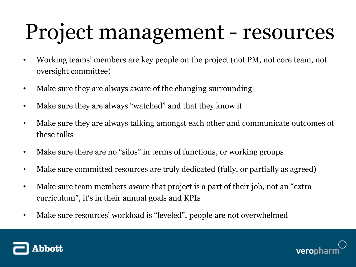## Project management - resources

- Working teams' members are key people on the project (not PM, not core team, not oversight committee)
- Make sure they are always aware of the changing surrounding
- Make sure they are always "watched" and that they know it
- Make sure they are always talking amongst each other and communicate outcomes of these talks
- Make sure there are no "silos" in terms of functions, or working groups
- Make sure committed resources are truly dedicated (fully, or partially as agreed)
- Make sure team members aware that project is a part of their job, not an "extra" curriculum", it's in their annual goals and KPIs
- Make sure resources' workload is "leveled", people are not overwhelmed



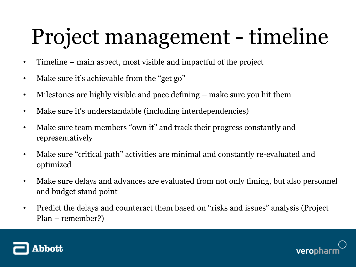# Project management - timeline

- Timeline main aspect, most visible and impactful of the project
- Make sure it's achievable from the "get go"
- Milestones are highly visible and pace defining make sure you hit them
- Make sure it's understandable (including interdependencies)
- Make sure team members "own it" and track their progress constantly and representatively
- Make sure "critical path" activities are minimal and constantly re-evaluated and optimized
- Make sure delays and advances are evaluated from not only timing, but also personnel and budget stand point
- Predict the delays and counteract them based on "risks and issues" analysis (Project Plan – remember?)



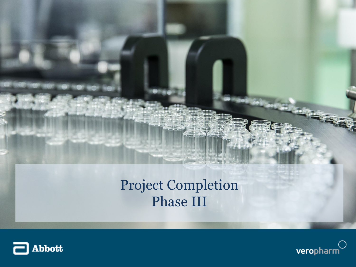

#### Project Completion Phase III



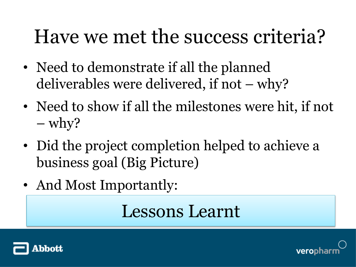### Have we met the success criteria?

- Need to demonstrate if all the planned deliverables were delivered, if not – why?
- Need to show if all the milestones were hit, if not – why?
- Did the project completion helped to achieve a business goal (Big Picture)
- And Most Importantly:

#### Lessons Learnt



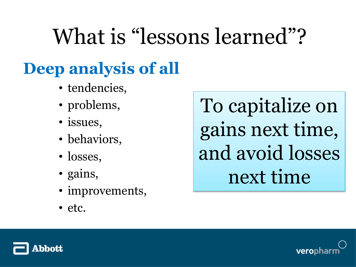## What is "lessons learned"?

### **Deep analysis of all**

- tendencies,
- problems,
- issues,
- behaviors,
- losses,
- gains,
- improvements,
- etc.

To capitalize on gains next time, and avoid losses next time



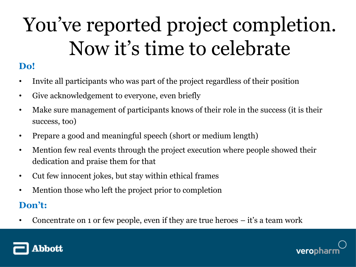## You've reported project completion. Now it's time to celebrate

#### **Do!**

- Invite all participants who was part of the project regardless of their position
- Give acknowledgement to everyone, even briefly
- Make sure management of participants knows of their role in the success (it is their success, too)
- Prepare a good and meaningful speech (short or medium length)
- Mention few real events through the project execution where people showed their dedication and praise them for that
- Cut few innocent jokes, but stay within ethical frames
- Mention those who left the project prior to completion

#### **Don't:**

• Concentrate on 1 or few people, even if they are true heroes – it's a team work